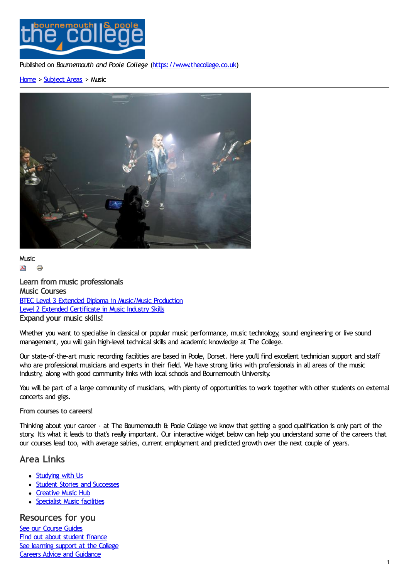

Published on *Bournemouth and Poole College* [\(https://www.thecollege.co.uk](https://www.thecollege.co.uk))

## [Home](https://www.thecollege.co.uk/) > [Subject](https://www.thecollege.co.uk/what-to-study/curriculum-areas) Areas > Music



**Music**  $\lambda$ 6

**[Learn](https://www.thecollege.co.uk/printpdf/taxonomy/term/32) [from](https://www.thecollege.co.uk/print/taxonomy/term/32) music professionals Music Courses** BTEC Level 3 Extended Diploma in [Music/Music](https://www.thecollege.co.uk/courses/btec-level-3-extended-diploma-musicmusic-production) Production Level 2 Extended [Certificate](https://www.thecollege.co.uk/courses/level-2-extended-certificate-music-industry-skills) in Music Industry Skills **Expand your music skills!**

Whether you want to specialise in classical or popular music performance, music technology, sound engineering or live sound management, you will gain high-level technical skills and academic knowledge at The College.

Our state-of-the-art music recording facilities are based in Poole, Dorset. Here you'll find excellent technician support and staff who are professional musicians and experts in their field. We have strong links with professionals in all areas of the music industry, along with good community links with local schools and Bournemouth University.

You will be part of a large community of musicians, with plenty of opportunities to work together with other students on external concerts and gigs.

## **From courses to careers!**

Thinking about your career - at The Bournemouth & Poole College we know that getting a good qualification is only part of the story. It's what it leads to that's really important. Our interactive widget below can help you understand some of the careers that our courses lead too, with average salries, current employment and predicted growth over the next couple of years.

## **Area Links**

- [Studying](https://www.thecollege.co.uk/what-to-study/curriculum-areas/music/studying-us) with Us
- Student Stories and [Successes](https://www.thecollege.co.uk/what-to-study/curriculum-areas/music/student-stories-and-successes)
- [Creative](https://www.thecollege.co.uk/music-hub) Music Hub
- [Specialist](https://www.thecollege.co.uk/what-to-study/curriculum-areas/music/specialist-music-facilities-0) Music facilities

**Resources for you** See our [Course](https://www.thecollege.co.uk/what-to-study/course-guides) Guides Find out about [student](https://www.thecollege.co.uk/student-support/student-finance) finance See [learning](https://www.thecollege.co.uk/student-support/learning-support) support at the College Careers Advice and [Guidance](https://www.thecollege.co.uk/careers-advice-and-guidance)